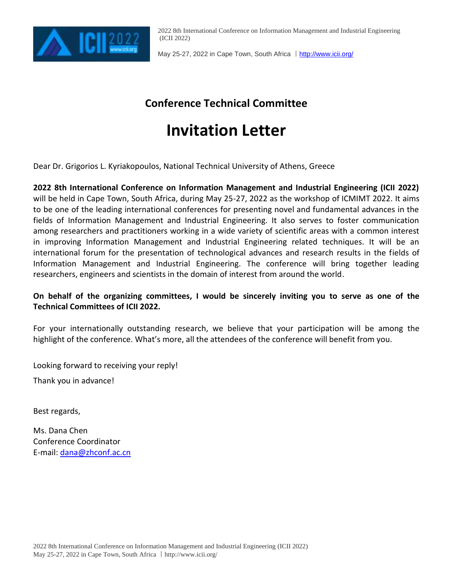

2022 8th International Conference on Information Management and Industrial Engineering (ICII 2022)

May 25-27, 2022 in Cape Town, South Africa | <http://www.icii.org/>

### **Conference Technical Committee**

# **Invitation Letter**

Dear Dr. Grigorios L. Kyriakopoulos, National Technical University of Athens, Greece

**2022 8th International Conference on Information Management and Industrial Engineering (ICII 2022)** will be held in Cape Town, South Africa, during May 25-27, 2022 as the workshop of [ICMIMT 2022.](http://www.mimt.us/) It aims to be one of the leading international conferences for presenting novel and fundamental advances in the fields of Information Management and Industrial Engineering. It also serves to foster communication among researchers and practitioners working in a wide variety of scientific areas with a common interest in improving Information Management and Industrial Engineering related techniques. It will be an international forum for the presentation of technological advances and research results in the fields of Information Management and Industrial Engineering. The conference will bring together leading researchers, engineers and scientists in the domain of interest from around the world.

### **On behalf of the organizing committees, I would be sincerely inviting you to serve as one of the Technical Committees of ICII 2022.**

For your internationally outstanding research, we believe that your participation will be among the highlight of the conference. What's more, all the attendees of the conference will benefit from you.

Looking forward to receiving your reply!

Thank you in advance!

Best regards,

Ms. Dana Chen Conference Coordinator E-mail: [dana@zhconf.ac.cn](mailto:dana@zhconf.ac.cn)